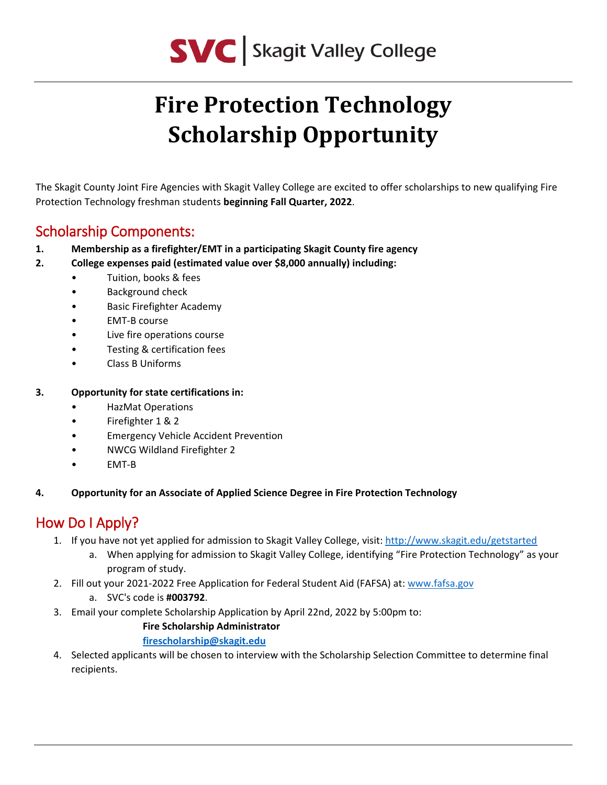

## **Fire Protection Technology Scholarship Opportunity**

The Skagit County Joint Fire Agencies with Skagit Valley College are excited to offer scholarships to new qualifying Fire Protection Technology freshman students **beginning Fall Quarter, 2022**.

### Scholarship Components:

- **1. Membership as a firefighter/EMT in a participating Skagit County fire agency**
- **2. College expenses paid (estimated value over \$8,000 annually) including:**
	- Tuition, books & fees
	- Background check
	- Basic Firefighter Academy
	- **EMT-B course**
	- Live fire operations course
	- Testing & certification fees
	- Class B Uniforms

#### **3. Opportunity for state certifications in:**

- HazMat Operations
- Firefighter 1 & 2
- Emergency Vehicle Accident Prevention
- NWCG Wildland Firefighter 2
- EMT-B

#### **4. Opportunity for an Associate of Applied Science Degree in Fire Protection Technology**

### How Do I Apply?

- 1. If you have not yet applied for admission to Skagit Valley College, visit:<http://www.skagit.edu/getstarted>
	- a. When applying for admission to Skagit Valley College, identifying "Fire Protection Technology" as your program of study.
- 2. Fill out your 2021-2022 Free Application for Federal Student Aid (FAFSA) at: [www.fafsa.gov](http://www.fafsa.gov/)
	- a. SVC's code is **#003792**.
- 3. Email your complete Scholarship Application by April 22nd, 2022 by 5:00pm to:

#### **Fire Scholarship Administrator**

#### **[firescholarship@skagit.edu](mailto:firescholarship@skagit.edu)**

4. Selected applicants will be chosen to interview with the Scholarship Selection Committee to determine final recipients.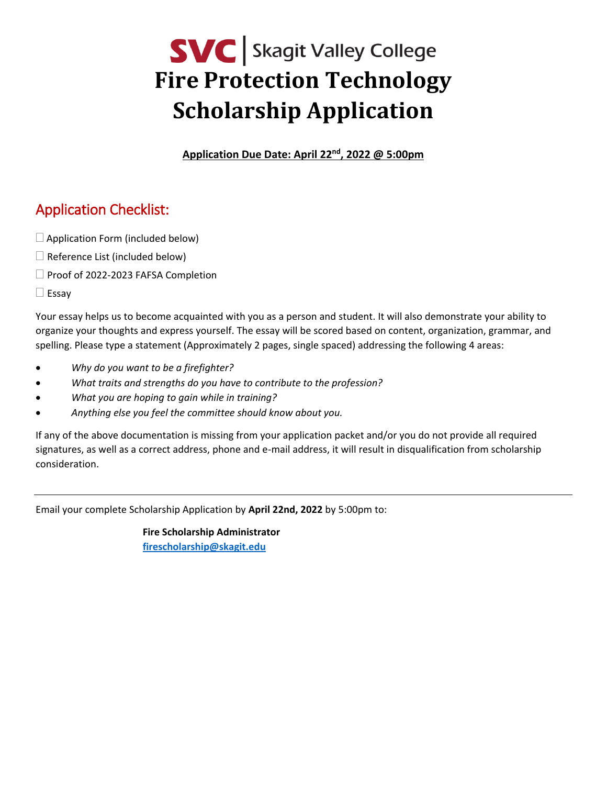# **SVC** Skagit Valley College **Fire Protection Technology Scholarship Application**

**Application Due Date: April 22nd, 2022 @ 5:00pm**

## Application Checklist:

- $\Box$  Application Form (included below)
- $\Box$  Reference List (included below)
- $\Box$  Proof of 2022-2023 FAFSA Completion
- $\Box$  Essay

Your essay helps us to become acquainted with you as a person and student. It will also demonstrate your ability to organize your thoughts and express yourself. The essay will be scored based on content, organization, grammar, and spelling. Please type a statement (Approximately 2 pages, single spaced) addressing the following 4 areas:

- *Why do you want to be a firefighter?*
- *What traits and strengths do you have to contribute to the profession?*
- *What you are hoping to gain while in training?*
- *Anything else you feel the committee should know about you.*

If any of the above documentation is missing from your application packet and/or you do not provide all required signatures, as well as a correct address, phone and e-mail address, it will result in disqualification from scholarship consideration.

Email your complete Scholarship Application by **April 22nd, 2022** by 5:00pm to:

**Fire Scholarship Administrator [firescholarship@skagit.edu](mailto:firescholarship@skagit.edu)**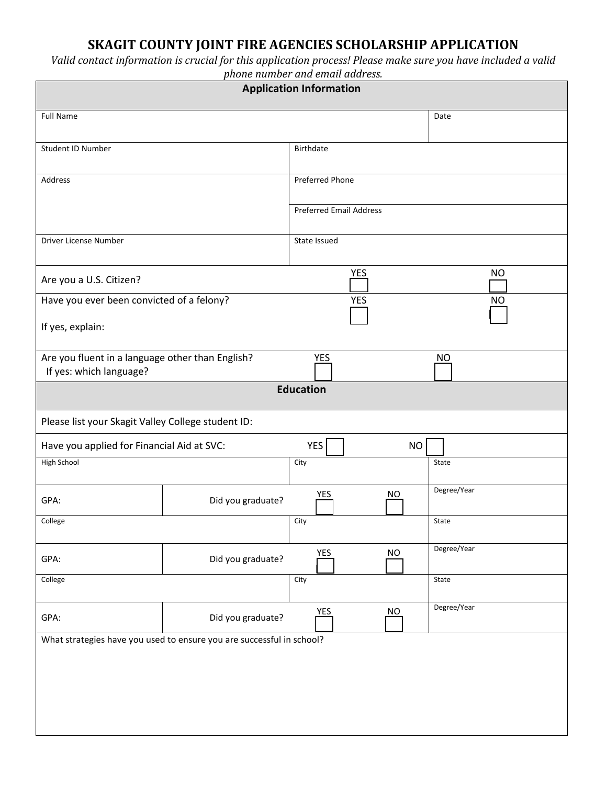## **SKAGIT COUNTY JOINT FIRE AGENCIES SCHOLARSHIP APPLICATION**

*Valid contact information is crucial for this application process! Please make sure you have included a valid phone number and email address.* 

| <b>Application Information</b>                                              |                                 |  |  |  |
|-----------------------------------------------------------------------------|---------------------------------|--|--|--|
| <b>Full Name</b>                                                            | Date                            |  |  |  |
| Student ID Number                                                           | Birthdate                       |  |  |  |
| Address                                                                     | Preferred Phone                 |  |  |  |
|                                                                             | <b>Preferred Email Address</b>  |  |  |  |
| Driver License Number                                                       | State Issued                    |  |  |  |
| Are you a U.S. Citizen?                                                     | <b>YES</b><br><b>NO</b>         |  |  |  |
| Have you ever been convicted of a felony?                                   | <b>YES</b><br><b>NO</b>         |  |  |  |
| If yes, explain:                                                            |                                 |  |  |  |
| Are you fluent in a language other than English?<br>If yes: which language? | YES<br><b>NO</b>                |  |  |  |
|                                                                             | <b>Education</b>                |  |  |  |
| Please list your Skagit Valley College student ID:                          |                                 |  |  |  |
| Have you applied for Financial Aid at SVC:                                  | <b>YES</b><br><b>NO</b>         |  |  |  |
| High School                                                                 | City<br>State                   |  |  |  |
| Did you graduate?<br>GPA:                                                   | Degree/Year<br>YES<br><u>NO</u> |  |  |  |
| College                                                                     | City<br><b>State</b>            |  |  |  |
| Did you graduate?<br>GPA:                                                   | Degree/Year<br>YES<br><b>NO</b> |  |  |  |
| College                                                                     | City<br>State                   |  |  |  |
| Did you graduate?<br>GPA:                                                   | Degree/Year<br><b>YES</b><br>NO |  |  |  |
| What strategies have you used to ensure you are successful in school?       |                                 |  |  |  |
|                                                                             |                                 |  |  |  |
|                                                                             |                                 |  |  |  |
|                                                                             |                                 |  |  |  |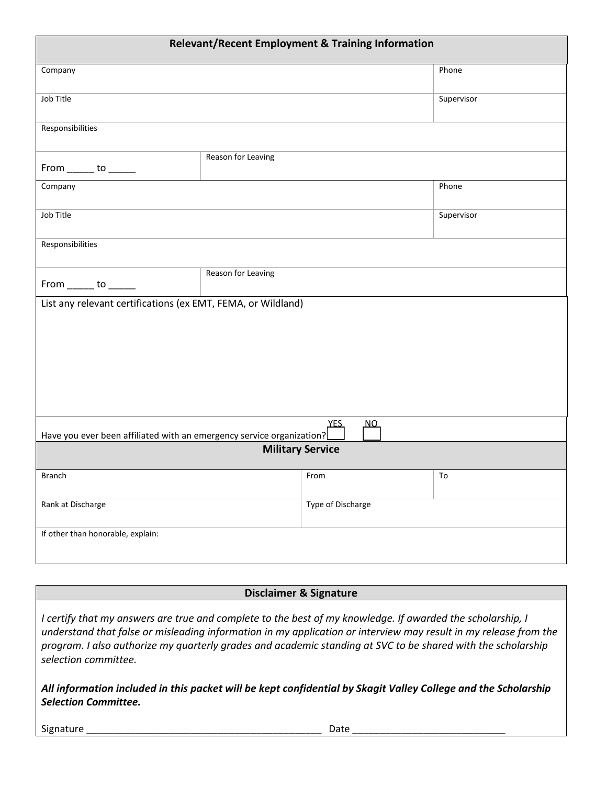| Relevant/Recent Employment & Training Information                                                |                    |                   |            |  |  |
|--------------------------------------------------------------------------------------------------|--------------------|-------------------|------------|--|--|
|                                                                                                  |                    |                   |            |  |  |
| Company                                                                                          |                    |                   | Phone      |  |  |
| Job Title                                                                                        |                    |                   | Supervisor |  |  |
| Responsibilities                                                                                 |                    |                   |            |  |  |
| From $\rule{1em}{0.15mm}$ to $\rule{1.5mm}{0.15mm}$                                              | Reason for Leaving |                   |            |  |  |
| Company                                                                                          |                    |                   | Phone      |  |  |
| Job Title                                                                                        |                    |                   | Supervisor |  |  |
| Responsibilities                                                                                 |                    |                   |            |  |  |
|                                                                                                  |                    |                   |            |  |  |
| Reason for Leaving<br>From $\rule{1em}{0.15mm}$ to $\rule{1em}{0.15mm}$                          |                    |                   |            |  |  |
| List any relevant certifications (ex EMT, FEMA, or Wildland)                                     |                    |                   |            |  |  |
|                                                                                                  |                    |                   |            |  |  |
|                                                                                                  |                    |                   |            |  |  |
|                                                                                                  |                    |                   |            |  |  |
|                                                                                                  |                    |                   |            |  |  |
|                                                                                                  |                    |                   |            |  |  |
|                                                                                                  |                    |                   |            |  |  |
| <u>YES</u><br><u>NO</u><br>Have you ever been affiliated with an emergency service organization? |                    |                   |            |  |  |
| <b>Military Service</b>                                                                          |                    |                   |            |  |  |
| <b>Branch</b>                                                                                    |                    | From              | $\vert$ To |  |  |
| Rank at Discharge                                                                                |                    | Type of Discharge |            |  |  |
| If other than honorable, explain:                                                                |                    |                   |            |  |  |
|                                                                                                  |                    |                   |            |  |  |

#### **Disclaimer & Signature**

*I certify that my answers are true and complete to the best of my knowledge. If awarded the scholarship, I understand that false or misleading information in my application or interview may result in my release from the program. I also authorize my quarterly grades and academic standing at SVC to be shared with the scholarship selection committee.* 

*All information included in this packet will be kept confidential by Skagit Valley College and the Scholarship Selection Committee.*

| Signature |                   | u u |              |
|-----------|-------------------|-----|--------------|
|           | _________________ |     | ____________ |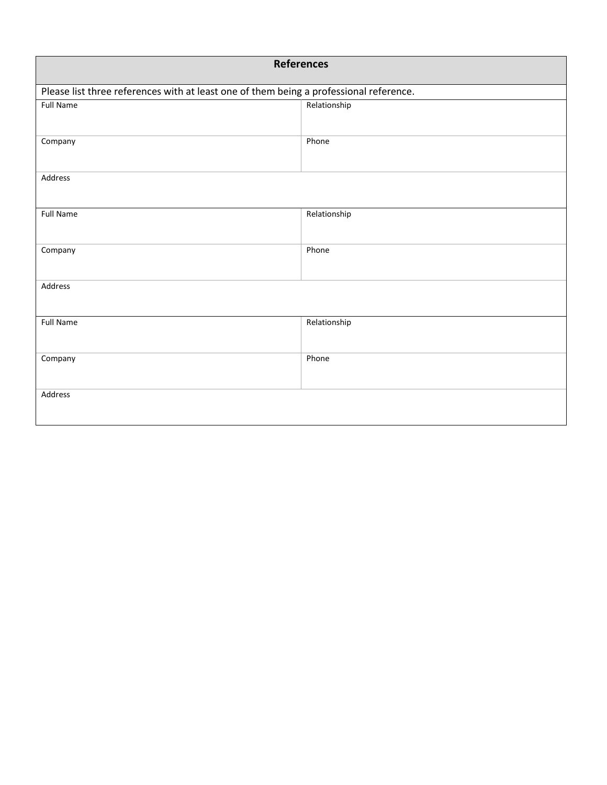| <b>References</b>                                                                      |              |  |  |
|----------------------------------------------------------------------------------------|--------------|--|--|
| Please list three references with at least one of them being a professional reference. |              |  |  |
| <b>Full Name</b>                                                                       | Relationship |  |  |
| Company                                                                                | Phone        |  |  |
| Address                                                                                |              |  |  |
| <b>Full Name</b>                                                                       | Relationship |  |  |
| Company                                                                                | Phone        |  |  |
| Address                                                                                |              |  |  |
| <b>Full Name</b>                                                                       | Relationship |  |  |
| Company                                                                                | Phone        |  |  |
| Address                                                                                |              |  |  |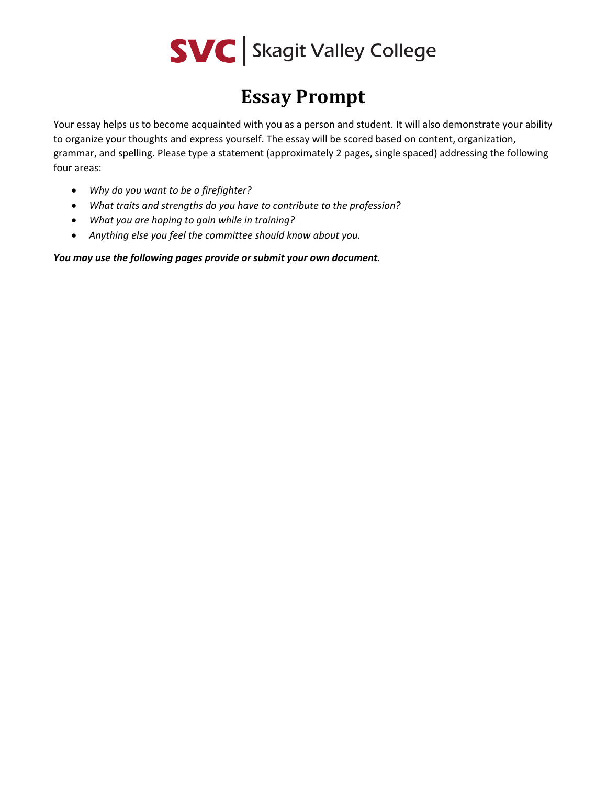

## **Essay Prompt**

Your essay helps us to become acquainted with you as a person and student. It will also demonstrate your ability to organize your thoughts and express yourself. The essay will be scored based on content, organization, grammar, and spelling. Please type a statement (approximately 2 pages, single spaced) addressing the following four areas:

- *Why do you want to be a firefighter?*
- *What traits and strengths do you have to contribute to the profession?*
- *What you are hoping to gain while in training?*
- *Anything else you feel the committee should know about you.*

*You may use the following pages provide or submit your own document.*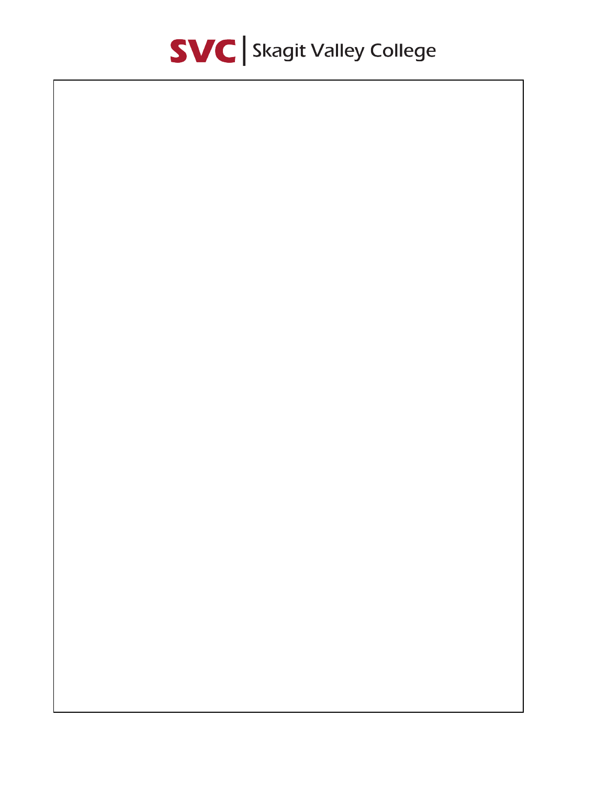